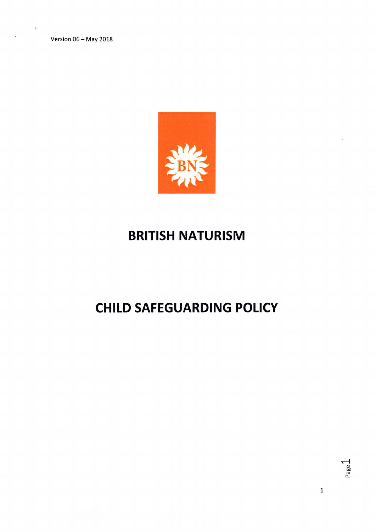Version 06— May 2018



# BRITISH NATURISM

# CHILD SAFEGUARDING POLICY

1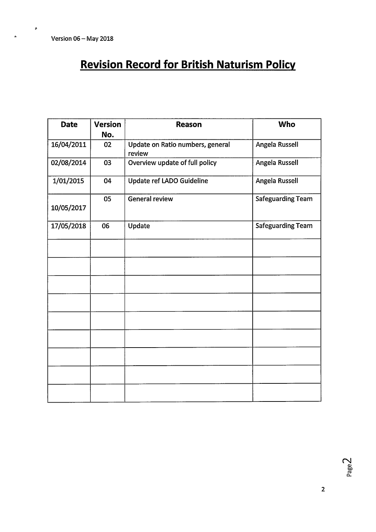$\pmb{\mathfrak{g}}$ 

 $\ddot{\phantom{a}}$ 

# Revision Record for British Naturism Policy

| <b>Date</b> | <b>Version</b><br>No. | <b>Reason</b>                              | <b>Who</b>               |
|-------------|-----------------------|--------------------------------------------|--------------------------|
| 16/04/2011  | 02                    | Update on Ratio numbers, general<br>review | Angela Russell           |
| 02/08/2014  | 03                    | Overview update of full policy             | Angela Russell           |
| 1/01/2015   | 04                    | Update ref LADO Guideline                  | Angela Russell           |
| 10/05/2017  | 05                    | <b>General review</b>                      | <b>Safeguarding Team</b> |
| 17/05/2018  | 06                    | Update                                     | <b>Safeguarding Team</b> |
|             |                       |                                            |                          |
|             |                       |                                            |                          |
|             |                       |                                            |                          |
|             |                       |                                            |                          |
|             |                       |                                            |                          |
|             |                       |                                            |                          |
|             |                       |                                            |                          |
|             |                       |                                            |                          |
|             |                       |                                            |                          |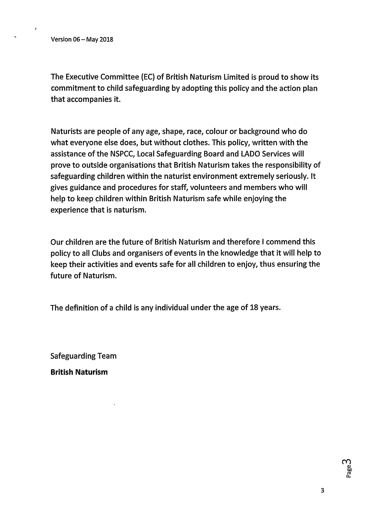The Executive Committee (EC) of British Naturism Limited is proud to show its commitment to child safeguarding by adopting this policy and the action plan that accompanies it.

Naturists are people of any age, shape, race, colour or background who do what everyone else does, but without clothes. This policy, written with the assistance of the NSPCC, Local Safeguarding Board and LADO Services will prove to outside organisations that British Naturism takes the responsibility of safeguarding children within the naturist environment extremely seriously. It gives guidance and procedures for staff, volunteers and members who will help to keep children within British Naturism safe while enjoying the experience that is naturism.

Our children are the future of British Naturism and therefore I commend this policy to all Clubs and organisers of events in the knowledge that it will help to keep their activities and events safe for all children to enjoy, thus ensuring the future of Naturism.

The definition of a child is any individual under the age of 18 years.

Safeguarding Team

British Naturism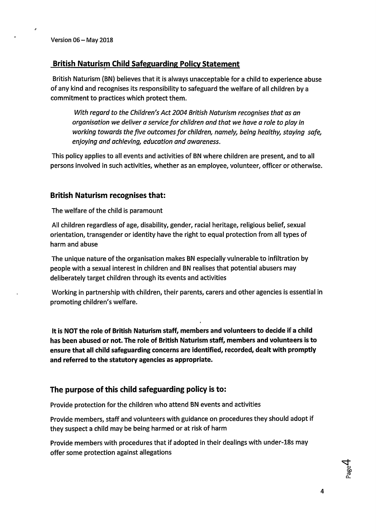## British Naturism Child Safeguarding Policy Statement

British Naturism (BN) believes that it is always unacceptable for a child to experience abuse of any kind and recognises its responsibility to safeguard the welfare of all children by a commitment to practices which protect them.

With regard to the Children's Act 2004 British Naturism recognises that as an organisation we deliver a service for children and that we have a role to play in working towards the five outcomes for children, namely, being healthy, staying safe, enjoying and achieving, education and awareness.

This policy applies to all events and activities of BN where children are present, and to all persons involved in such activities, whether as an employee, volunteer, officer or otherwise.

### British Naturism recognises that:

The welfare of the child is paramount

All children regardless of age, disability, gender, racial heritage, religious belief, sexual orientation, transgender or identity have the right to equal protection from all types of harm and abuse

The unique nature of the organisation makes BN especially vulnerable to infiltration by people with a sexual interest in children and BN realises that potential abusers may deliberately target children through its events and activities

Working in partnership with children, their parents, carers and other agencies is essential in promoting children's welfare.

It is NOT the role of British Naturism staff, members and volunteers to decide if a child has been abused or not. The role of British Naturism staff, members and volunteers is to ensure that all child safeguarding concerns are identified, recorded, dealt with promptly and referred to the statutory agencies as appropriate.

### The purpose of this child safeguarding policy is to:

Provide protection for the children who attend BN events and activities

Provide members, staff and volunteers with guidance on procedures they should adopt if they suspect a child may be being harmed or at risk of harm

Provide members with procedures that if adopted in their dealings with under-18s may offer some protection against allegations

Jage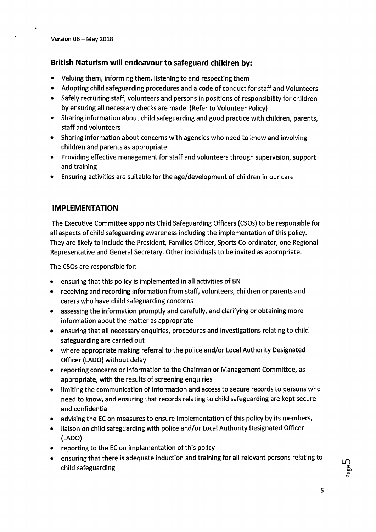## British Naturism will endeavour to safeguard children by:

- Valuing them, informing them, listening to and respecting them
- Adopting child safeguarding procedures and a code of conduct for staff and Volunteers
- Safely recruiting staff, volunteers and persons in positions of responsibility for children by ensuring all necessary checks are made (Refer to Volunteer Policy)
- Sharing information about child safeguarding and good practice with children, parents, staff and volunteers
- Sharing information about concerns with agencies who need to know and involving children and parents as appropriate
- Providing effective management for staff and volunteers through supervision, support and training
- Ensuring activities are suitable for the age/development of children in our care

## IMPLEMENTATION

The Executive Committee appoints Child Safeguarding Officers (CS0s) to be responsible for all aspects of child safeguarding awareness including the implementation of this policy. They are likely to include the President, Families Officer, Sports Co-ordinator, one Regional Representative and General Secretary. Other individuals to be invited as appropriate.

The CSOs are responsible for:

- ensuring that this policy is implemented in all activities of BN
- receiving and recording information from staff, volunteers, children or parents and carers who have child safeguarding concerns
- assessing the information promptly and carefully, and clarifying or obtaining more information about the matter as appropriate
- ensuring that all necessary enquiries, procedures and investigations relating to child safeguarding are carried out
- where appropriate making referral to the police and/or Local Authority Designated Officer (LADO) without delay
- reporting concerns or information to the Chairman or Management Committee, as appropriate, with the results of screening enquiries
- limiting the communication of information and access to secure records to persons who need to know, and ensuring that records relating to child safeguarding are kept secure and confidential
- advising the EC on measures to ensure implementation of this policy by its members,
- liaison on child safeguarding with police and/or Local Authority Designated Officer (LADO)
- reporting to the EC on implementation of this policy
- ensuring that there is adequate induction and training for all relevant persons relating to child safeguarding

Page-D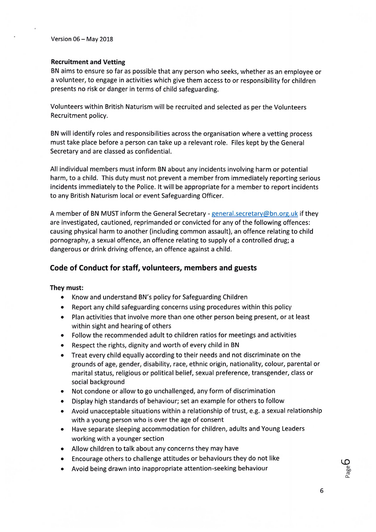Version 06 — May 2018

#### Recruitment and Vetting

BN aims to ensure so far as possible that any person who seeks, whether as an employee or a volunteer, to engage in activities which give them access to or responsibility for children presents no risk or danger in terms of child safeguarding.

Volunteers within British Naturism will be recruited and selected as per the Volunteers Recruitment policy.

BN will identify roles and responsibilities across the organisation where a vetting process must take place before a person can take up a relevant role. Files kept by the General Secretary and are classed as confidential.

All individual members must inform BN about any incidents involving harm or potential harm, to a child. This duty must not prevent a member from immediately reporting serious incidents immediately to the Police. It will be appropriate for a member to report incidents to any British Naturism local or event Safeguarding Officer.

A member of BN MUST inform the General Secretary - general.secretary@bn.org.uk if they are investigated, cautioned, reprimanded or convicted for any of the following offences: causing physical harm to another (including common assault), an offence relating to child pornography, a sexual offence, an offence relating to supply of a controlled drug; a dangerous or drink driving offence, an offence against a child.

### Code of Conduct for staff, volunteers, members and guests

#### They must:

- Know and understand BN's policy for Safeguarding Children
- Report any child safeguarding concerns using procedures within this policy
- Plan activities that involve more than one other person being present, or at least within sight and hearing of others
- Follow the recommended adult to children ratios for meetings and activities
- Respect the rights, dignity and worth of every child in BN
- Treat every child equally according to their needs and not discriminate on the grounds of age, gender, disability, race, ethnic origin, nationality, colour, parental or marital status, religious or political belief, sexual preference, transgender, class or social background
- Not condone or allow to go unchallenged, any form of discrimination
- Display high standards of behaviour; set an example for others to follow
- Avoid unacceptable situations within a relationship of trust, e.g. a sexual relationship with a young person who is over the age of consent
- Have separate sleeping accommodation for children, adults and Young Leaders working with a younger section
- Allow children to talk about any concerns they may have
- Encourage others to challenge attitudes or behaviours they do not like
- Avoid being drawn into inappropriate attention-seeking behaviour

Page **D**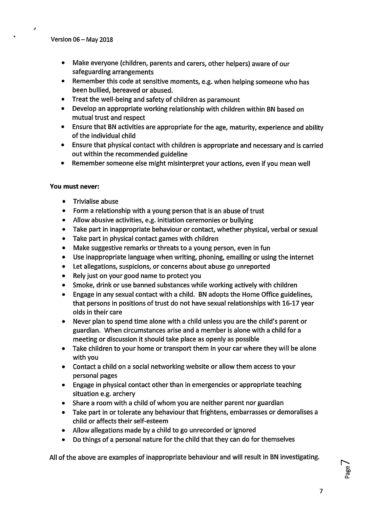- Make everyone (children, parents and carers, other helpers) aware of our safeguarding arrangements
- Remember this code at sensitive moments, e.g. when helping someone who has been bullied, bereaved or abused.
- Treat the well-being and safety of children as paramount
- Develop an appropriate working relationship with children within BN based on mutual trust and respect
- Ensure that BN activities are appropriate for the age, maturity, experience and ability of the individual child
- Ensure that physical contact with children is appropriate and necessary and is carried out within the recommended guideline
- Remember someone else might misinterpret your actions, even if you mean well

#### You must never:

- Trivialise abuse
- Form a relationship with a young person that is an abuse of trust
- Allow abusive activities, e.g. initiation ceremonies or bullying
- Take part in inappropriate behaviour or contact, whether physical, verbal or sexual
- Take part in physical contact games with children
- Make suggestive remarks or threats to a young person, even in fun
- Use inappropriate language when writing, phoning, emailing or using the internet
- Let allegations, suspicions, or concerns about abuse go unreported
- Rely just on your good name to protect you
- Smoke, drink or use banned substances while working actively with children
- Engage in any sexual contact with a child. BN adopts the Home Office guidelines, that persons in positions of trust do not have sexual relationships with 16-17 year olds in their care
- Never plan to spend time alone with a child unless you are the child's parent or guardian. When circumstances arise and a member is alone with a child for a meeting or discussion it should take place as openly as possible
- Take children to your home or transport them in your car where they will be alone with you
- Contact a child on a social networking website or allow them access to your personal pages
- Engage in physical contact other than in emergencies or appropriate teaching situation e.g. archery
- Share a room with a child of whom you are neither parent nor guardian
- Take part in or tolerate any behaviour that frightens, embarrasses or demoralises a child or affects their self-esteem
- Allow allegations made by a child to go unrecorded or ignored
- Do things of a personal nature for the child that they can do for themselves

All of the above are examples of inappropriate behaviour and will result in BN investigating.